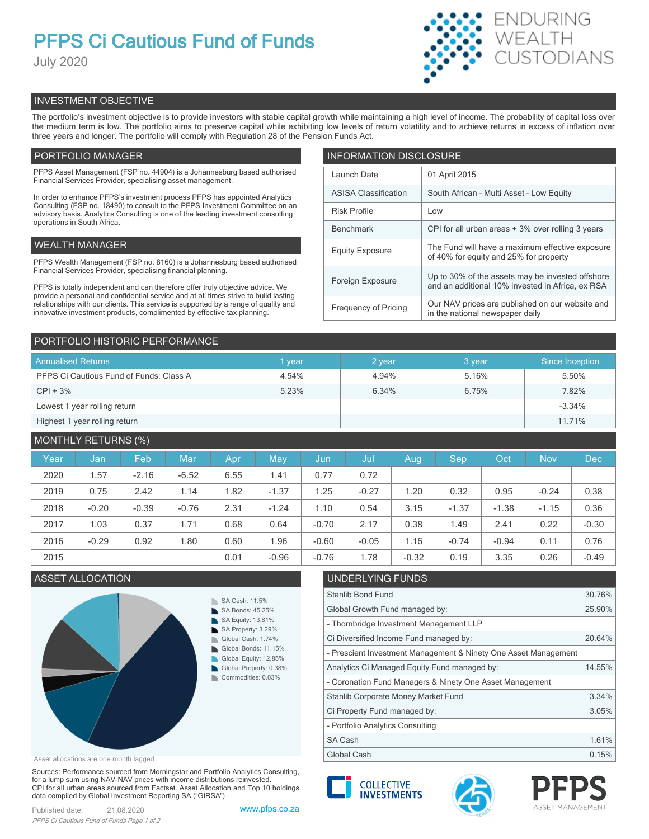# **PFPS Ci Cautious Fund of Funds**

July 2020



# INVESTMENT OBJECTIVE

The portfolio's investment objective is to provide investors with stable capital growth while maintaining a high level of income. The probability of capital loss over the medium term is low. The portfolio aims to preserve capital while exhibiting low levels of return volatility and to achieve returns in excess of inflation over three years and longer. The portfolio will comply with Regulation 28 of the Pension Funds Act.

# PORTFOLIO MANAGER

PFPS Asset Management (FSP no. 44904) is a Johannesburg based authorised Financial Services Provider, specialising asset management.

In order to enhance PFPS's investment process PFPS has appointed Analytics Consulting (FSP no. 18490) to consult to the PFPS Investment Committee on an advisory basis. Analytics Consulting is one of the leading investment consulting operations in South Africa.

## WEALTH MANAGER

PFPS Wealth Management (FSP no. 8160) is a Johannesburg based authorised Financial Services Provider, specialising financial planning.

PFPS is totally independent and can therefore offer truly objective advice. We provide a personal and confidential service and at all times strive to build lasting relationships with our clients. This service is supported by a range of quality and innovative investment products, complimented by effective tax planning.

| <b>INFORMATION DISCLOSURE</b> |                                                                                                      |  |  |  |
|-------------------------------|------------------------------------------------------------------------------------------------------|--|--|--|
| Launch Date                   | 01 April 2015                                                                                        |  |  |  |
| <b>ASISA Classification</b>   | South African - Multi Asset - Low Equity                                                             |  |  |  |
| <b>Risk Profile</b>           | Low                                                                                                  |  |  |  |
| <b>Benchmark</b>              | CPI for all urban areas + 3% over rolling 3 years                                                    |  |  |  |
| <b>Equity Exposure</b>        | The Fund will have a maximum effective exposure<br>of 40% for equity and 25% for property            |  |  |  |
| Foreign Exposure              | Up to 30% of the assets may be invested offshore<br>and an additional 10% invested in Africa, ex RSA |  |  |  |
| <b>Frequency of Pricing</b>   | Our NAV prices are published on our website and<br>in the national newspaper daily                   |  |  |  |

### PORTFOLIO HISTORIC PERFORMANCE

| <b>Annualised Returns</b>               | vear  | 2 year | 3 year | Since Inception |
|-----------------------------------------|-------|--------|--------|-----------------|
| PFPS Ci Cautious Fund of Funds: Class A | 4.54% | 4.94%  | 5.16%  | 5.50%           |
| $CPI + 3%$                              | 5.23% | 6.34%  | 6.75%  | 7.82%           |
| Lowest 1 year rolling return            |       |        |        | $-3.34%$        |
| Highest 1 year rolling return           |       |        |        | 11.71%          |

# MONTHLY RETURNS (%)

| Year | Jan     | Feb     | <b>Mar</b> | Apr  | May        | Jun     | Jul     | Aug     | Sep     | Oct     | <b>Nov</b> | <b>Dec</b> |
|------|---------|---------|------------|------|------------|---------|---------|---------|---------|---------|------------|------------|
| 2020 | 1.57    | $-2.16$ | $-6.52$    | 6.55 | 1.41       | 0.77    | 0.72    |         |         |         |            |            |
| 2019 | 0.75    | 2.42    | 1.14       | 1.82 | $-1.37$    | 1.25    | $-0.27$ | 1.20    | 0.32    | 0.95    | $-0.24$    | 0.38       |
| 2018 | $-0.20$ | $-0.39$ | $-0.76$    | 2.31 | $-1.24$    | 1.10    | 0.54    | 3.15    | $-1.37$ | $-1.38$ | $-1.15$    | 0.36       |
| 2017 | 1.03    | 0.37    | 1.71       | 0.68 | 0.64       | $-0.70$ | 2.17    | 0.38    | 1.49    | 2.41    | 0.22       | $-0.30$    |
| 2016 | $-0.29$ | 0.92    | 1.80       | 0.60 | <b>96.</b> | $-0.60$ | $-0.05$ | 1.16    | $-0.74$ | $-0.94$ | 0.11       | 0.76       |
| 2015 |         |         |            | 0.01 | $-0.96$    | $-0.76$ | 1.78    | $-0.32$ | 0.19    | 3.35    | 0.26       | $-0.49$    |

# ASSET ALLOCATION ASSET ALLOCATION



Asset allocations are one month lagged

Sources: Performance sourced from Morningstar and Portfolio Analytics Consulting, for a lump sum using NAV-NAV prices with income distributions reinvested. CPI for all urban areas sourced from Factset. Asset Allocation and Top 10 holdings data compiled by Global Investment Reporting SA ("GIRSA")

| UNDLINLI ING I UNDO                                             |        |  |  |
|-----------------------------------------------------------------|--------|--|--|
| Stanlib Bond Fund                                               |        |  |  |
| Global Growth Fund managed by:                                  | 25.90% |  |  |
| - Thornbridge Investment Management LLP                         |        |  |  |
| Ci Diversified Income Fund managed by:                          | 20.64% |  |  |
| - Prescient Investment Management & Ninety One Asset Management |        |  |  |
| Analytics Ci Managed Equity Fund managed by:                    | 14.55% |  |  |
| - Coronation Fund Managers & Ninety One Asset Management        |        |  |  |
| Stanlib Corporate Money Market Fund                             | 3.34%  |  |  |
| Ci Property Fund managed by:                                    | 3.05%  |  |  |
| - Portfolio Analytics Consulting                                |        |  |  |
| <b>SA Cash</b>                                                  | 1.61%  |  |  |
| Global Cash                                                     | 0.15%  |  |  |